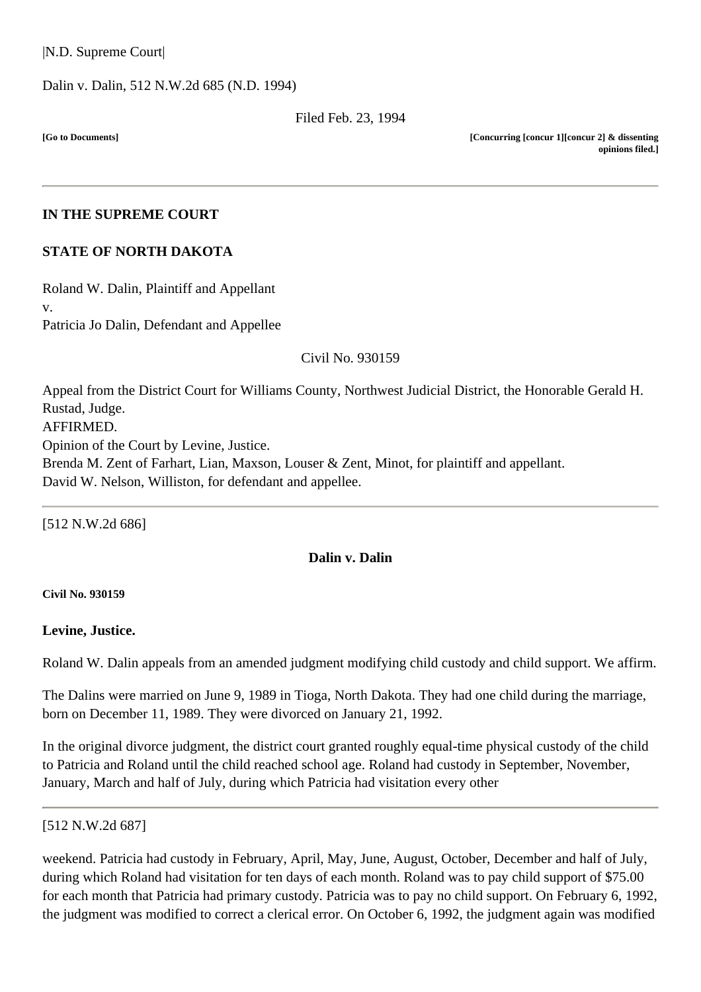Dalin v. Dalin, [512 N.W.2d 685](http://www.ndcourts.gov/supreme-court/opinion/512NW2d685) (N.D. 1994)

Filed Feb. 23, 1994

**[Go to Documents]**

**[Concurring [concur 1][concur 2] & dissenting opinions filed.]**

### **IN THE SUPREME COURT**

### **STATE OF NORTH DAKOTA**

Roland W. Dalin, Plaintiff and Appellant v. Patricia Jo Dalin, Defendant and Appellee

Civil [No. 930159](http://www.ndcourts.gov/supreme-court/dockets/19930159)

Appeal from the District Court for Williams County, Northwest Judicial District, the Honorable Gerald H. Rustad, Judge. AFFIRMED. Opinion of the Court by Levine, Justice. Brenda M. Zent of Farhart, Lian, Maxson, Louser & Zent, Minot, for plaintiff and appellant. David W. Nelson, Williston, for defendant and appellee.

[512 N.W.2d 686]

### **Dalin v. Dalin**

#### **Civil [No. 930159](http://www.ndcourts.gov/supreme-court/dockets/19930159)**

### **Levine, Justice.**

Roland W. Dalin appeals from an amended judgment modifying child custody and child support. We affirm.

The Dalins were married on June 9, 1989 in Tioga, North Dakota. They had one child during the marriage, born on December 11, 1989. They were divorced on January 21, 1992.

In the original divorce judgment, the district court granted roughly equal-time physical custody of the child to Patricia and Roland until the child reached school age. Roland had custody in September, November, January, March and half of July, during which Patricia had visitation every other

#### [512 N.W.2d 687]

weekend. Patricia had custody in February, April, May, June, August, October, December and half of July, during which Roland had visitation for ten days of each month. Roland was to pay child support of \$75.00 for each month that Patricia had primary custody. Patricia was to pay no child support. On February 6, 1992, the judgment was modified to correct a clerical error. On October 6, 1992, the judgment again was modified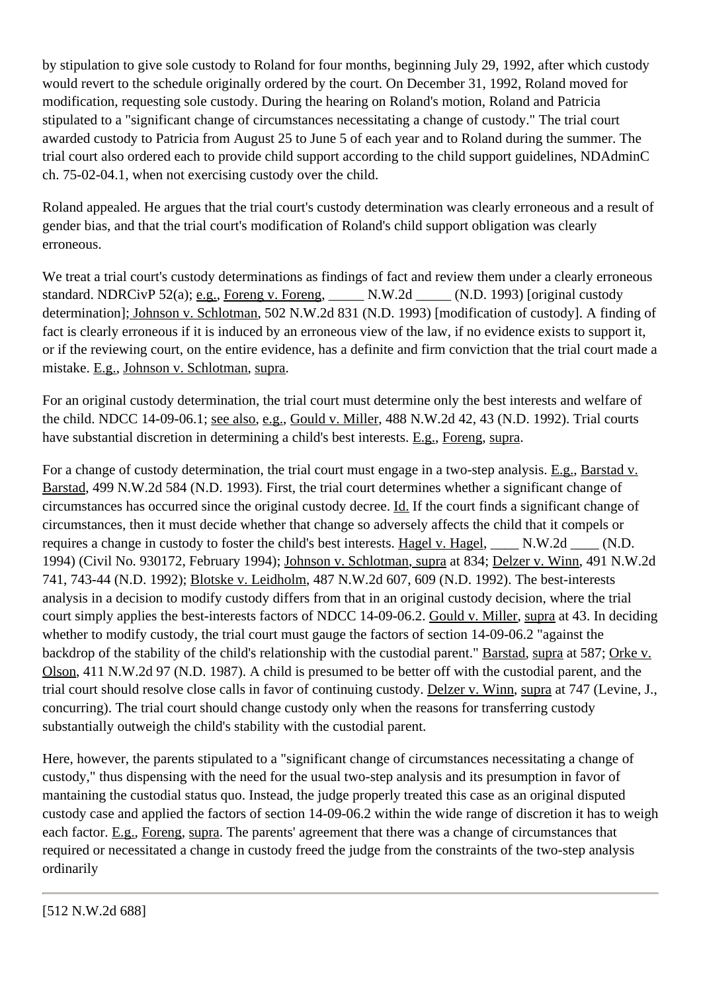by stipulation to give sole custody to Roland for four months, beginning July 29, 1992, after which custody would revert to the schedule originally ordered by the court. On December 31, 1992, Roland moved for modification, requesting sole custody. During the hearing on Roland's motion, Roland and Patricia stipulated to a "significant change of circumstances necessitating a change of custody." The trial court awarded custody to Patricia from August 25 to June 5 of each year and to Roland during the summer. The trial court also ordered each to provide child support according to the child support guidelines, NDAdminC ch. 75-02-04.1, when not exercising custody over the child.

Roland appealed. He argues that the trial court's custody determination was clearly erroneous and a result of gender bias, and that the trial court's modification of Roland's child support obligation was clearly erroneous.

We treat a trial court's custody determinations as findings of fact and review them under a clearly erroneous standard. [NDRCivP 52\(a\);](http://www.ndcourts.gov/legal-resources/rules/ndrcivp/52) e.g., Foreng v. Foreng, \_\_\_\_\_ N.W.2d \_\_\_\_\_ (N.D. 1993) [original custody determination]; Johnson v. Schlotman, [502 N.W.2d 831](http://www.ndcourts.gov/supreme-court/opinion/502NW2d831) (N.D. 1993) [modification of custody]. A finding of fact is clearly erroneous if it is induced by an erroneous view of the law, if no evidence exists to support it, or if the reviewing court, on the entire evidence, has a definite and firm conviction that the trial court made a mistake. E.g., Johnson v. Schlotman, supra.

For an original custody determination, the trial court must determine only the best interests and welfare of the child. NDCC 14-09-06.1; see also, e.g., Gould v. Miller, 488 N.W.2d 42, 43 (N.D. 1992). Trial courts have substantial discretion in determining a child's best interests. E.g., Foreng, supra.

For a change of custody determination, the trial court must engage in a two-step analysis. E.g., Barstad v. Barstad, [499 N.W.2d 584](http://www.ndcourts.gov/supreme-court/opinion/499NW2d584) (N.D. 1993). First, the trial court determines whether a significant change of circumstances has occurred since the original custody decree. Id. If the court finds a significant change of circumstances, then it must decide whether that change so adversely affects the child that it compels or requires a change in custody to foster the child's best interests. Hagel v. Hagel, \_\_\_\_ N.W.2d \_\_\_\_ (N.D. 1994) (Civil [No. 930172,](http://www.ndcourts.gov/supreme-court/dockets/19930172) February 1994); Johnson v. Schlotman, supra at 834; Delzer v. Winn, [491 N.W.2d](http://www.ndcourts.gov/supreme-court/opinion/491NW2d741) [741,](http://www.ndcourts.gov/supreme-court/opinion/491NW2d741) 743-44 (N.D. 1992); Blotske v. Leidholm, [487 N.W.2d 607,](http://www.ndcourts.gov/supreme-court/opinion/487NW2d607) 609 (N.D. 1992). The best-interests analysis in a decision to modify custody differs from that in an original custody decision, where the trial court simply applies the best-interests factors of NDCC 14-09-06.2. Gould v. Miller, supra at 43. In deciding whether to modify custody, the trial court must gauge the factors of section 14-09-06.2 "against the backdrop of the stability of the child's relationship with the custodial parent." Barstad, supra at 587; Orke v. Olson, 411 N.W.2d 97 (N.D. 1987). A child is presumed to be better off with the custodial parent, and the trial court should resolve close calls in favor of continuing custody. Delzer v. Winn, supra at 747 (Levine, J., concurring). The trial court should change custody only when the reasons for transferring custody substantially outweigh the child's stability with the custodial parent.

Here, however, the parents stipulated to a "significant change of circumstances necessitating a change of custody," thus dispensing with the need for the usual two-step analysis and its presumption in favor of mantaining the custodial status quo. Instead, the judge properly treated this case as an original disputed custody case and applied the factors of section 14-09-06.2 within the wide range of discretion it has to weigh each factor. E.g., Foreng, supra. The parents' agreement that there was a change of circumstances that required or necessitated a change in custody freed the judge from the constraints of the two-step analysis ordinarily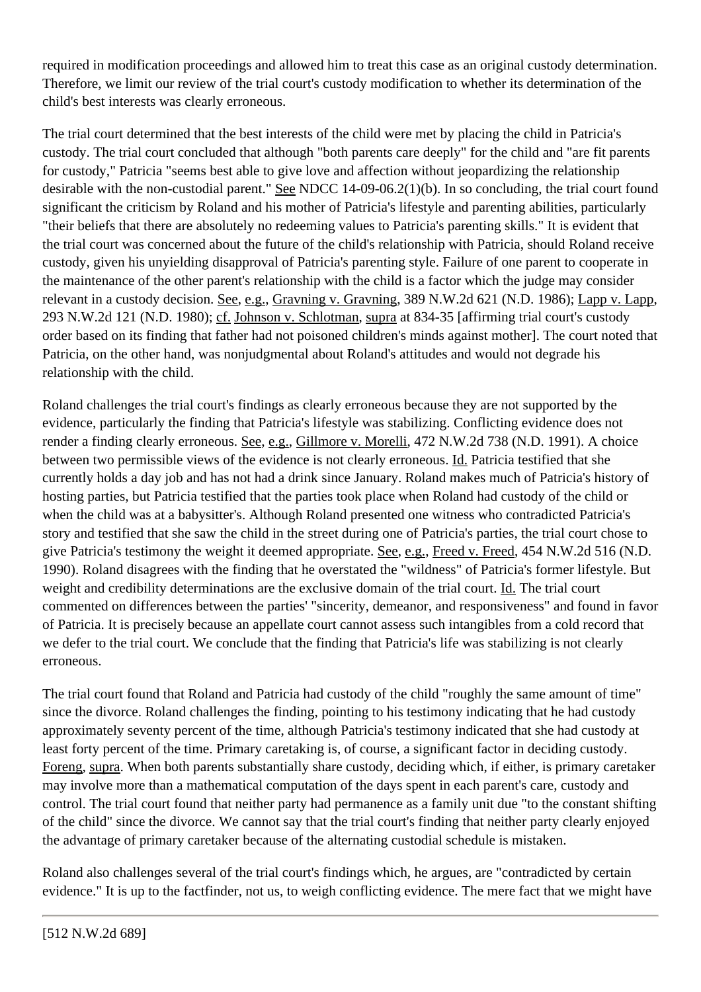required in modification proceedings and allowed him to treat this case as an original custody determination. Therefore, we limit our review of the trial court's custody modification to whether its determination of the child's best interests was clearly erroneous.

The trial court determined that the best interests of the child were met by placing the child in Patricia's custody. The trial court concluded that although "both parents care deeply" for the child and "are fit parents for custody," Patricia "seems best able to give love and affection without jeopardizing the relationship desirable with the non-custodial parent." See NDCC 14-09-06.2(1)(b). In so concluding, the trial court found significant the criticism by Roland and his mother of Patricia's lifestyle and parenting abilities, particularly "their beliefs that there are absolutely no redeeming values to Patricia's parenting skills." It is evident that the trial court was concerned about the future of the child's relationship with Patricia, should Roland receive custody, given his unyielding disapproval of Patricia's parenting style. Failure of one parent to cooperate in the maintenance of the other parent's relationship with the child is a factor which the judge may consider relevant in a custody decision. See, e.g., Gravning v. Gravning, [389 N.W.2d 621](http://www.ndcourts.gov/supreme-court/opinion/389NW2d621) (N.D. 1986); Lapp v. Lapp, [293 N.W.2d 121](http://www.ndcourts.gov/supreme-court/opinion/293NW2d121) (N.D. 1980); cf. Johnson v. Schlotman, supra at 834-35 [affirming trial court's custody order based on its finding that father had not poisoned children's minds against mother]. The court noted that Patricia, on the other hand, was nonjudgmental about Roland's attitudes and would not degrade his relationship with the child.

Roland challenges the trial court's findings as clearly erroneous because they are not supported by the evidence, particularly the finding that Patricia's lifestyle was stabilizing. Conflicting evidence does not render a finding clearly erroneous. See, e.g., Gillmore v. Morelli, [472 N.W.2d 738](http://www.ndcourts.gov/supreme-court/opinion/472NW2d738) (N.D. 1991). A choice between two permissible views of the evidence is not clearly erroneous. Id. Patricia testified that she currently holds a day job and has not had a drink since January. Roland makes much of Patricia's history of hosting parties, but Patricia testified that the parties took place when Roland had custody of the child or when the child was at a babysitter's. Although Roland presented one witness who contradicted Patricia's story and testified that she saw the child in the street during one of Patricia's parties, the trial court chose to give Patricia's testimony the weight it deemed appropriate. See, e.g., Freed v. Freed, [454 N.W.2d 516](http://www.ndcourts.gov/supreme-court/opinion/454NW2d516) (N.D. 1990). Roland disagrees with the finding that he overstated the "wildness" of Patricia's former lifestyle. But weight and credibility determinations are the exclusive domain of the trial court. Id. The trial court commented on differences between the parties' "sincerity, demeanor, and responsiveness" and found in favor of Patricia. It is precisely because an appellate court cannot assess such intangibles from a cold record that we defer to the trial court. We conclude that the finding that Patricia's life was stabilizing is not clearly erroneous.

The trial court found that Roland and Patricia had custody of the child "roughly the same amount of time" since the divorce. Roland challenges the finding, pointing to his testimony indicating that he had custody approximately seventy percent of the time, although Patricia's testimony indicated that she had custody at least forty percent of the time. Primary caretaking is, of course, a significant factor in deciding custody. Foreng, supra. When both parents substantially share custody, deciding which, if either, is primary caretaker may involve more than a mathematical computation of the days spent in each parent's care, custody and control. The trial court found that neither party had permanence as a family unit due "to the constant shifting of the child" since the divorce. We cannot say that the trial court's finding that neither party clearly enjoyed the advantage of primary caretaker because of the alternating custodial schedule is mistaken.

Roland also challenges several of the trial court's findings which, he argues, are "contradicted by certain evidence." It is up to the factfinder, not us, to weigh conflicting evidence. The mere fact that we might have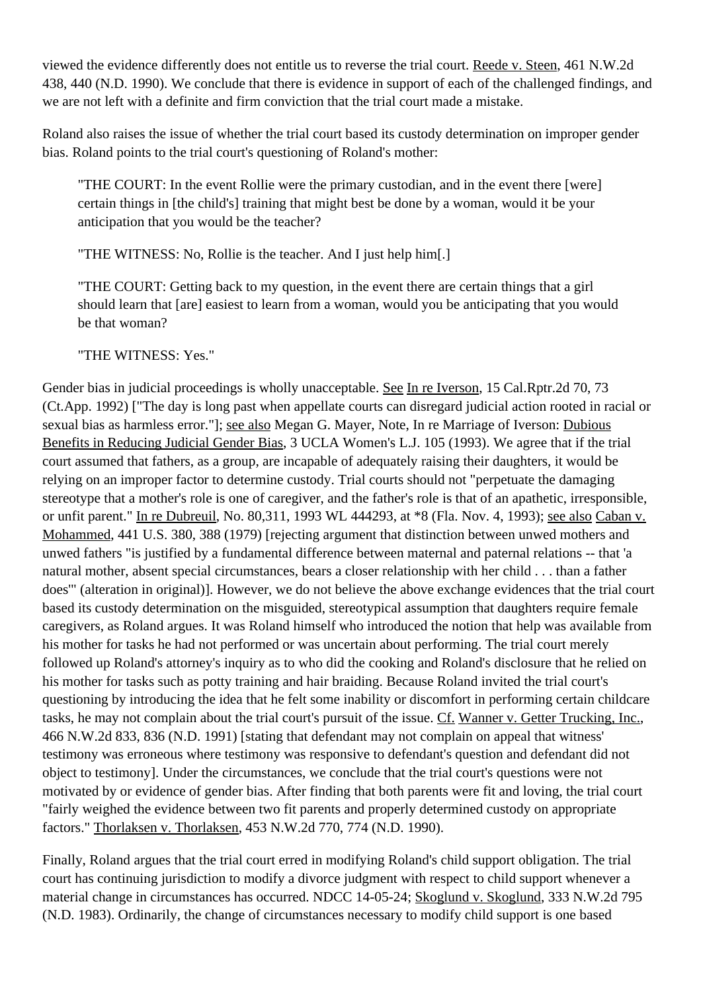viewed the evidence differently does not entitle us to reverse the trial court. Reede v. Steen, [461 N.W.2d](http://www.ndcourts.gov/supreme-court/opinion/461NW2d438) [438,](http://www.ndcourts.gov/supreme-court/opinion/461NW2d438) 440 (N.D. 1990). We conclude that there is evidence in support of each of the challenged findings, and we are not left with a definite and firm conviction that the trial court made a mistake.

Roland also raises the issue of whether the trial court based its custody determination on improper gender bias. Roland points to the trial court's questioning of Roland's mother:

"THE COURT: In the event Rollie were the primary custodian, and in the event there [were] certain things in [the child's] training that might best be done by a woman, would it be your anticipation that you would be the teacher?

"THE WITNESS: No, Rollie is the teacher. And I just help him[.]

"THE COURT: Getting back to my question, in the event there are certain things that a girl should learn that [are] easiest to learn from a woman, would you be anticipating that you would be that woman?

"THE WITNESS: Yes."

Gender bias in judicial proceedings is wholly unacceptable. See In re Iverson, 15 Cal.Rptr.2d 70, 73 (Ct.App. 1992) ["The day is long past when appellate courts can disregard judicial action rooted in racial or sexual bias as harmless error."]; see also Megan G. Mayer, Note, In re Marriage of Iverson: Dubious Benefits in Reducing Judicial Gender Bias, 3 UCLA Women's L.J. 105 (1993). We agree that if the trial court assumed that fathers, as a group, are incapable of adequately raising their daughters, it would be relying on an improper factor to determine custody. Trial courts should not "perpetuate the damaging stereotype that a mother's role is one of caregiver, and the father's role is that of an apathetic, irresponsible, or unfit parent." In re Dubreuil, No. 80,311, 1993 WL 444293, at \*8 (Fla. Nov. 4, 1993); see also Caban v. Mohammed, 441 U.S. 380, 388 (1979) [rejecting argument that distinction between unwed mothers and unwed fathers "is justified by a fundamental difference between maternal and paternal relations -- that 'a natural mother, absent special circumstances, bears a closer relationship with her child . . . than a father does'" (alteration in original)]. However, we do not believe the above exchange evidences that the trial court based its custody determination on the misguided, stereotypical assumption that daughters require female caregivers, as Roland argues. It was Roland himself who introduced the notion that help was available from his mother for tasks he had not performed or was uncertain about performing. The trial court merely followed up Roland's attorney's inquiry as to who did the cooking and Roland's disclosure that he relied on his mother for tasks such as potty training and hair braiding. Because Roland invited the trial court's questioning by introducing the idea that he felt some inability or discomfort in performing certain childcare tasks, he may not complain about the trial court's pursuit of the issue. Cf. Wanner v. Getter Trucking, Inc., [466 N.W.2d 833,](http://www.ndcourts.gov/supreme-court/opinion/466NW2d833) 836 (N.D. 1991) [stating that defendant may not complain on appeal that witness' testimony was erroneous where testimony was responsive to defendant's question and defendant did not object to testimony]. Under the circumstances, we conclude that the trial court's questions were not motivated by or evidence of gender bias. After finding that both parents were fit and loving, the trial court "fairly weighed the evidence between two fit parents and properly determined custody on appropriate factors." Thorlaksen v. Thorlaksen, [453 N.W.2d 770,](http://www.ndcourts.gov/supreme-court/opinion/453NW2d770) 774 (N.D. 1990).

Finally, Roland argues that the trial court erred in modifying Roland's child support obligation. The trial court has continuing jurisdiction to modify a divorce judgment with respect to child support whenever a material change in circumstances has occurred. NDCC 14-05-24; Skoglund v. Skoglund, [333 N.W.2d 795](http://www.ndcourts.gov/supreme-court/opinion/333NW2d795) (N.D. 1983). Ordinarily, the change of circumstances necessary to modify child support is one based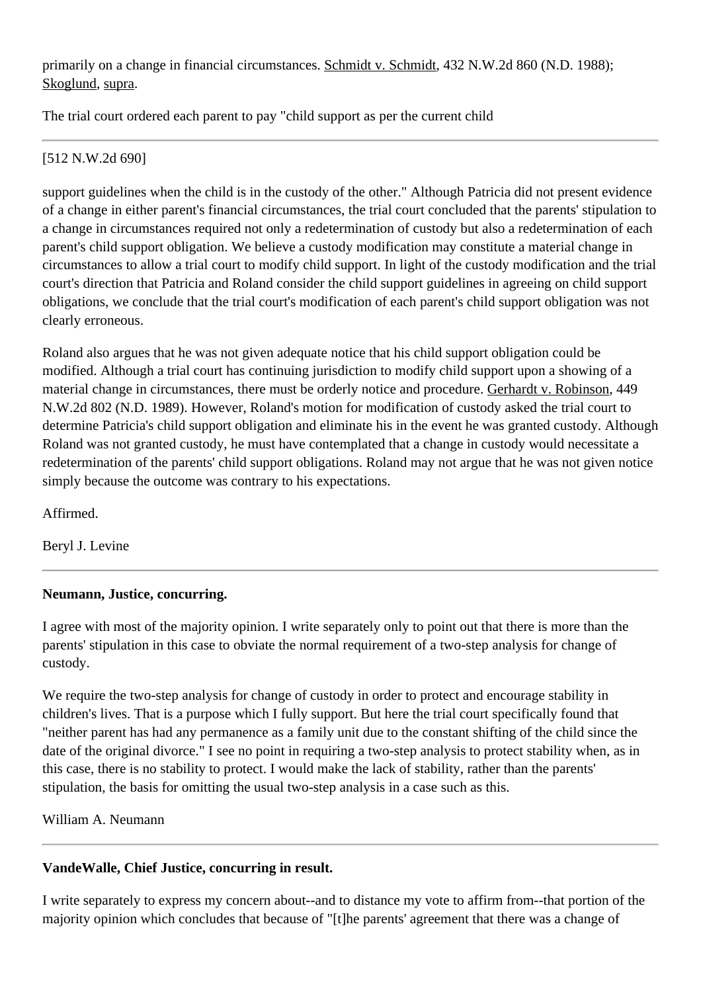primarily on a change in financial circumstances. Schmidt v. Schmidt, [432 N.W.2d 860](http://www.ndcourts.gov/supreme-court/opinion/432NW2d860) (N.D. 1988); Skoglund, supra.

The trial court ordered each parent to pay "child support as per the current child

## [512 N.W.2d 690]

support guidelines when the child is in the custody of the other." Although Patricia did not present evidence of a change in either parent's financial circumstances, the trial court concluded that the parents' stipulation to a change in circumstances required not only a redetermination of custody but also a redetermination of each parent's child support obligation. We believe a custody modification may constitute a material change in circumstances to allow a trial court to modify child support. In light of the custody modification and the trial court's direction that Patricia and Roland consider the child support guidelines in agreeing on child support obligations, we conclude that the trial court's modification of each parent's child support obligation was not clearly erroneous.

Roland also argues that he was not given adequate notice that his child support obligation could be modified. Although a trial court has continuing jurisdiction to modify child support upon a showing of a material change in circumstances, there must be orderly notice and procedure. Gerhardt v. Robinson, [449](http://www.ndcourts.gov/supreme-court/opinion/449NW2d802) [N.W.2d 802](http://www.ndcourts.gov/supreme-court/opinion/449NW2d802) (N.D. 1989). However, Roland's motion for modification of custody asked the trial court to determine Patricia's child support obligation and eliminate his in the event he was granted custody. Although Roland was not granted custody, he must have contemplated that a change in custody would necessitate a redetermination of the parents' child support obligations. Roland may not argue that he was not given notice simply because the outcome was contrary to his expectations.

Affirmed.

Beryl J. Levine

## **Neumann, Justice, concurring.**

I agree with most of the majority opinion. I write separately only to point out that there is more than the parents' stipulation in this case to obviate the normal requirement of a two-step analysis for change of custody.

We require the two-step analysis for change of custody in order to protect and encourage stability in children's lives. That is a purpose which I fully support. But here the trial court specifically found that "neither parent has had any permanence as a family unit due to the constant shifting of the child since the date of the original divorce." I see no point in requiring a two-step analysis to protect stability when, as in this case, there is no stability to protect. I would make the lack of stability, rather than the parents' stipulation, the basis for omitting the usual two-step analysis in a case such as this.

## William A. Neumann

# **VandeWalle, Chief Justice, concurring in result.**

I write separately to express my concern about--and to distance my vote to affirm from--that portion of the majority opinion which concludes that because of "[t]he parents' agreement that there was a change of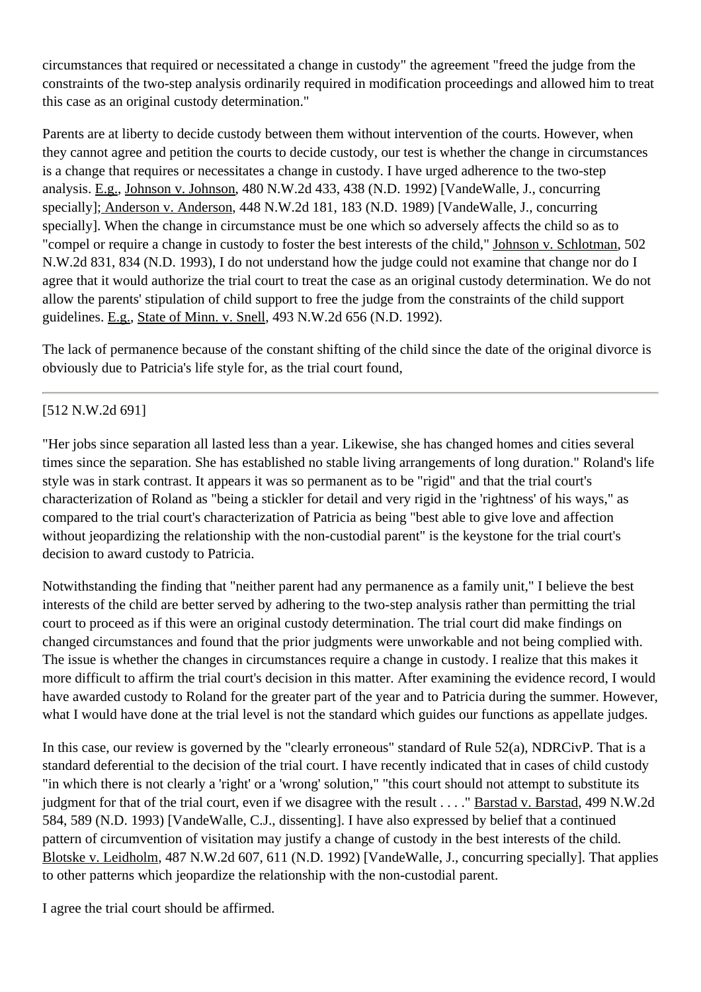circumstances that required or necessitated a change in custody" the agreement "freed the judge from the constraints of the two-step analysis ordinarily required in modification proceedings and allowed him to treat this case as an original custody determination."

Parents are at liberty to decide custody between them without intervention of the courts. However, when they cannot agree and petition the courts to decide custody, our test is whether the change in circumstances is a change that requires or necessitates a change in custody. I have urged adherence to the two-step analysis. E.g., Johnson v. Johnson, [480 N.W.2d 433,](http://www.ndcourts.gov/supreme-court/opinion/480NW2d433) 438 (N.D. 1992) [VandeWalle, J., concurring specially]; Anderson v. Anderson, [448 N.W.2d 181,](http://www.ndcourts.gov/supreme-court/opinion/448NW2d181) 183 (N.D. 1989) [VandeWalle, J., concurring specially]. When the change in circumstance must be one which so adversely affects the child so as to "compel or require a change in custody to foster the best interests of the child," Johnson v. Schlotman, [502](http://www.ndcourts.gov/supreme-court/opinion/502NW2d831) [N.W.2d 831,](http://www.ndcourts.gov/supreme-court/opinion/502NW2d831) 834 (N.D. 1993), I do not understand how the judge could not examine that change nor do I agree that it would authorize the trial court to treat the case as an original custody determination. We do not allow the parents' stipulation of child support to free the judge from the constraints of the child support guidelines. E.g., State of Minn. v. Snell, [493 N.W.2d 656](http://www.ndcourts.gov/supreme-court/opinion/493NW2d656) (N.D. 1992).

The lack of permanence because of the constant shifting of the child since the date of the original divorce is obviously due to Patricia's life style for, as the trial court found,

### [512 N.W.2d 691]

"Her jobs since separation all lasted less than a year. Likewise, she has changed homes and cities several times since the separation. She has established no stable living arrangements of long duration." Roland's life style was in stark contrast. It appears it was so permanent as to be "rigid" and that the trial court's characterization of Roland as "being a stickler for detail and very rigid in the 'rightness' of his ways," as compared to the trial court's characterization of Patricia as being "best able to give love and affection without jeopardizing the relationship with the non-custodial parent" is the keystone for the trial court's decision to award custody to Patricia.

Notwithstanding the finding that "neither parent had any permanence as a family unit," I believe the best interests of the child are better served by adhering to the two-step analysis rather than permitting the trial court to proceed as if this were an original custody determination. The trial court did make findings on changed circumstances and found that the prior judgments were unworkable and not being complied with. The issue is whether the changes in circumstances require a change in custody. I realize that this makes it more difficult to affirm the trial court's decision in this matter. After examining the evidence record, I would have awarded custody to Roland for the greater part of the year and to Patricia during the summer. However, what I would have done at the trial level is not the standard which guides our functions as appellate judges.

In this case, our review is governed by the "clearly erroneous" standard of [Rule 52\(a\), NDRCivP.](http://www.ndcourts.gov/legal-resources/rules/ndrcivp/52) That is a standard deferential to the decision of the trial court. I have recently indicated that in cases of child custody "in which there is not clearly a 'right' or a 'wrong' solution," "this court should not attempt to substitute its judgment for that of the trial court, even if we disagree with the result . . . . "Barstad v. Barstad, [499 N.W.2d](http://www.ndcourts.gov/supreme-court/opinion/499NW2d584) [584,](http://www.ndcourts.gov/supreme-court/opinion/499NW2d584) 589 (N.D. 1993) [VandeWalle, C.J., dissenting]. I have also expressed by belief that a continued pattern of circumvention of visitation may justify a change of custody in the best interests of the child. Blotske v. Leidholm, [487 N.W.2d 607,](http://www.ndcourts.gov/supreme-court/opinion/487NW2d607) 611 (N.D. 1992) [VandeWalle, J., concurring specially]. That applies to other patterns which jeopardize the relationship with the non-custodial parent.

I agree the trial court should be affirmed.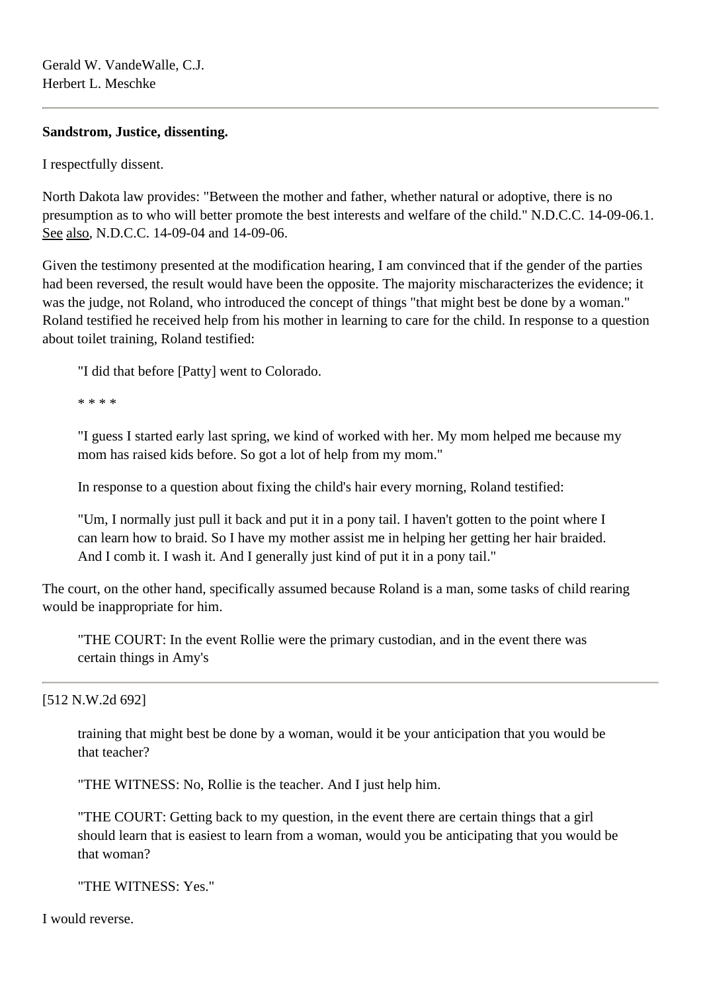### **Sandstrom, Justice, dissenting.**

I respectfully dissent.

North Dakota law provides: "Between the mother and father, whether natural or adoptive, there is no presumption as to who will better promote the best interests and welfare of the child." N.D.C.C. 14-09-06.1. See also, N.D.C.C. 14-09-04 and 14-09-06.

Given the testimony presented at the modification hearing, I am convinced that if the gender of the parties had been reversed, the result would have been the opposite. The majority mischaracterizes the evidence; it was the judge, not Roland, who introduced the concept of things "that might best be done by a woman." Roland testified he received help from his mother in learning to care for the child. In response to a question about toilet training, Roland testified:

"I did that before [Patty] went to Colorado.

\* \* \* \*

"I guess I started early last spring, we kind of worked with her. My mom helped me because my mom has raised kids before. So got a lot of help from my mom."

In response to a question about fixing the child's hair every morning, Roland testified:

"Um, I normally just pull it back and put it in a pony tail. I haven't gotten to the point where I can learn how to braid. So I have my mother assist me in helping her getting her hair braided. And I comb it. I wash it. And I generally just kind of put it in a pony tail."

The court, on the other hand, specifically assumed because Roland is a man, some tasks of child rearing would be inappropriate for him.

"THE COURT: In the event Rollie were the primary custodian, and in the event there was certain things in Amy's

[512 N.W.2d 692]

training that might best be done by a woman, would it be your anticipation that you would be that teacher?

"THE WITNESS: No, Rollie is the teacher. And I just help him.

"THE COURT: Getting back to my question, in the event there are certain things that a girl should learn that is easiest to learn from a woman, would you be anticipating that you would be that woman?

"THE WITNESS: Yes."

I would reverse.